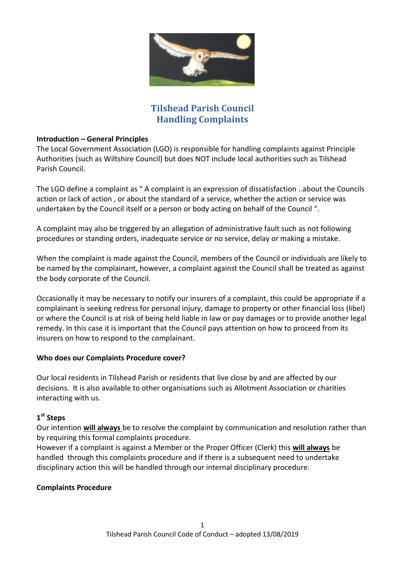

# **Tilshead Parish Council Handling Complaints**

### **Introduction – General Principles**

The Local Government Association (LGO) is responsible for handling complaints against Principle Authorities (such as Wiltshire Council) but does NOT include local authorities such as Tilshead Parish Council.

The LGO define a complaint as " A complaint is an expression of dissatisfaction ..about the Councils action or lack of action , or about the standard of a service, whether the action or service was undertaken by the Council itself or a person or body acting on behalf of the Council ".

A complaint may also be triggered by an allegation of administrative fault such as not following procedures or standing orders, inadequate service or no service, delay or making a mistake.

When the complaint is made against the Council, members of the Council or individuals are likely to be named by the complainant, however, a complaint against the Council shall be treated as against the body corporate of the Council.

Occasionally it may be necessary to notify our insurers of a complaint, this could be appropriate if a complainant is seeking redress for personal injury, damage to property or other financial loss (libel) or where the Council is at risk of being held liable in law or pay damages or to provide another legal remedy. In this case it is important that the Council pays attention on how to proceed from its insurers on how to respond to the complainant.

#### **Who does our Complaints Procedure cover?**

Our local residents in Tilshead Parish or residents that live close by and are affected by our decisions. It is also available to other organisations such as Allotment Association or charities interacting with us.

# **1 st Steps**

Our intention **will always** be to resolve the complaint by communication and resolution rather than by requiring this formal complaints procedure.

However if a complaint is against a Member or the Proper Officer (Clerk) this **will always** be handled through this complaints procedure and if there is a subsequent need to undertake disciplinary action this will be handled through our internal disciplinary procedure.

## **Complaints Procedure**